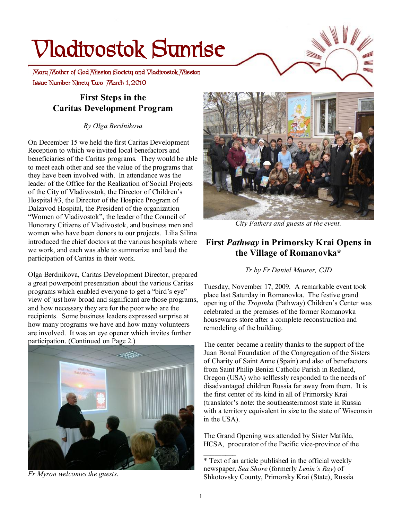# **Vladivostok Sunrise**

 **Issue Number Ninety Two March 1, 2010 Mary Mother of God Mission Society and Vladivostok Mission** 

## **First Steps in the Caritas Development Program**

*By Olga Berdnikova* 

On December 15 we held the first Caritas Development Reception to which we invited local benefactors and beneficiaries of the Caritas programs. They would be able to meet each other and see the value of the programs that they have been involved with. In attendance was the leader of the Office for the Realization of Social Projects of the City of Vladivostok, the Director of Children's Hospital #3, the Director of the Hospice Program of Dalzavod Hospital, the President of the organization "Women of Vladivostok", the leader of the Council of Honorary Citizens of Vladivostok, and business men and women who have been donors to our projects. Lilia Silina introduced the chief doctors at the various hospitals where we work, and each was able to summarize and laud the participation of Caritas in their work.

Olga Berdnikova, Caritas Development Director, prepared a great powerpoint presentation about the various Caritas programs which enabled everyone to get a "bird's eye" view of just how broad and significant are those programs, and how necessary they are for the poor who are the recipients. Some business leaders expressed surprise at how many programs we have and how many volunteers are involved. It was an eye opener which invites further participation. (Continued on Page 2.)



*Fr Myron welcomes the guests.* 



*City Fathers and guests at the event.* 

#### **First** *Pathway* **in Primorsky Krai Opens in the Village of Romanovka\***

*Tr by Fr Daniel Maurer, CJD*

Tuesday, November 17, 2009. A remarkable event took place last Saturday in Romanovka. The festive grand opening of the *Tropinka* (Pathway) Children's Center was celebrated in the premises of the former Romanovka housewares store after a complete reconstruction and remodeling of the building.

The center became a reality thanks to the support of the Juan Bonal Foundation of the Congregation of the Sisters of Charity of Saint Anne (Spain) and also of benefactors from Saint Philip Benizi Catholic Parish in Redland, Oregon (USA) who selflessly responded to the needs of disadvantaged children Russia far away from them. It is the first center of its kind in all of Primorsky Krai (translator's note: the southeasternmost state in Russia with a territory equivalent in size to the state of Wisconsin in the USA).

The Grand Opening was attended by Sister Matilda, HCSA, procurator of the Pacific vice-province of the

 $\mathcal{L}_\text{max}$ 

<sup>\*</sup> Text of an article published in the official weekly newspaper, *Sea Shore* (formerly *Lenin's Ray*) of Shkotovsky County, Primorsky Krai (State), Russia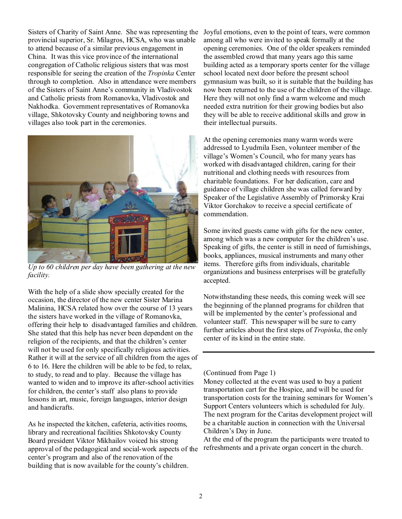Sisters of Charity of Saint Anne. She was representing the Joyful emotions, even to the point of tears, were common provincial superior, Sr. Milagros, HCSA, who was unable to attend because of a similar previous engagement in China. It was this vice province of the international congregation of Catholic religious sisters that was most responsible for seeing the creation of the *Tropinka* Center through to completion. Also in attendance were members of the Sisters of Saint Anne's community in Vladivostok and Catholic priests from Romanovka, Vladivostok and Nakhodka. Government representatives of Romanovka village, Shkotovsky County and neighboring towns and villages also took part in the ceremonies.



*Up to 60 children per day have been gathering at the new facility.* 

With the help of a slide show specially created for the occasion, the director of the new center Sister Marina Malinina, HCSA related how over the course of 13 years the sisters have worked in the village of Romanovka, offering their help to disadvantaged families and children. She stated that this help has never been dependent on the religion of the recipients, and that the children's center will not be used for only specifically religious activities. Rather it will at the service of all children from the ages of 6 to 16. Here the children will be able to be fed, to relax, to study, to read and to play. Because the village has wanted to widen and to improve its after-school activities for children, the center's staff also plans to provide lessons in art, music, foreign languages, interior design and handicrafts.

As he inspected the kitchen, cafeteria, activities rooms, library and recreational facilities Shkotovsky County Board president Viktor Mikhailov voiced his strong approval of the pedagogical and social-work aspects of the center's program and also of the renovation of the building that is now available for the county's children.

among all who were invited to speak formally at the opening ceremonies. One of the older speakers reminded the assembled crowd that many years ago this same building acted as a temporary sports center for the village school located next door before the present school gymnasium was built, so it is suitable that the building has now been returned to the use of the children of the village. Here they will not only find a warm welcome and much needed extra nutrition for their growing bodies but also they will be able to receive additional skills and grow in their intellectual pursuits.

At the opening ceremonies many warm words were addressed to Lyudmila Esen, volunteer member of the village's Women's Council, who for many years has worked with disadvantaged children, caring for their nutritional and clothing needs with resources from charitable foundations. For her dedication, care and guidance of village children she was called forward by Speaker of the Legislative Assembly of Primorsky Krai Viktor Gorchakov to receive a special certificate of commendation.

Some invited guests came with gifts for the new center, among which was a new computer for the children's use. Speaking of gifts, the center is still in need of furnishings, books, appliances, musical instruments and many other items. Therefore gifts from individuals, charitable organizations and business enterprises will be gratefully accepted.

Notwithstanding these needs, this coming week will see the beginning of the planned programs for children that will be implemented by the center's professional and volunteer staff. This newspaper will be sure to carry further articles about the first steps of *Tropinka*, the only center of its kind in the entire state.

#### (Continued from Page 1)

Money collected at the event was used to buy a patient transportation cart for the Hospice, and will be used for transportation costs for the training seminars for Women's Support Centers volunteers which is scheduled for July. The next program for the Caritas development project will be a charitable auction in connection with the Universal Children's Day in June.

At the end of the program the participants were treated to refreshments and a private organ concert in the church.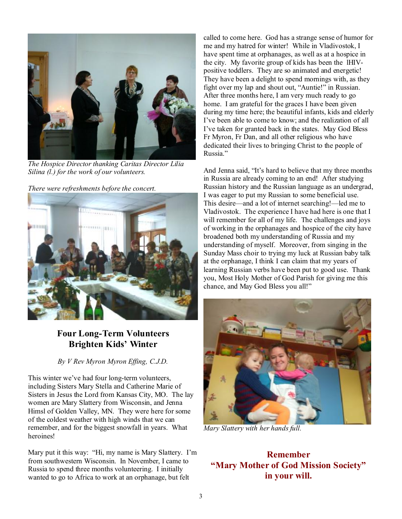

*The Hospice Director thanking Caritas Director Lilia Silina (l.) for the work of our volunteers.* 

*There were refreshments before the concert.* 



## **Four Long-Term Volunteers Brighten Kids' Winter**

*By V Rev Myron Myron Effing, C.J.D.* 

This winter we've had four long-term volunteers, including Sisters Mary Stella and Catherine Marie of Sisters in Jesus the Lord from Kansas City, MO. The lay women are Mary Slattery from Wisconsin, and Jenna Himsl of Golden Valley, MN. They were here for some of the coldest weather with high winds that we can remember, and for the biggest snowfall in years. What heroines!

Mary put it this way: "Hi, my name is Mary Slattery. I'm from southwestern Wisconsin. In November, I came to Russia to spend three months volunteering. I initially wanted to go to Africa to work at an orphanage, but felt

called to come here. God has a strange sense of humor for me and my hatred for winter! While in Vladivostok, I have spent time at orphanages, as well as at a hospice in the city. My favorite group of kids has been the lHIVpositive toddlers. They are so animated and energetic! They have been a delight to spend mornings with, as they fight over my lap and shout out, "Auntie!" in Russian. After three months here, I am very much ready to go home. I am grateful for the graces I have been given during my time here; the beautiful infants, kids and elderly I've been able to come to know; and the realization of all I've taken for granted back in the states. May God Bless Fr Myron, Fr Dan, and all other religious who have dedicated their lives to bringing Christ to the people of Russia."

And Jenna said, "It's hard to believe that my three months in Russia are already coming to an end! After studying Russian history and the Russian language as an undergrad, I was eager to put my Russian to some beneficial use. This desire—and a lot of internet searching!—led me to Vladivostok. The experience I have had here is one that I will remember for all of my life. The challenges and joys of working in the orphanages and hospice of the city have broadened both my understanding of Russia and my understanding of myself. Moreover, from singing in the Sunday Mass choir to trying my luck at Russian baby talk at the orphanage, I think I can claim that my years of learning Russian verbs have been put to good use. Thank you, Most Holy Mother of God Parish for giving me this chance, and May God Bless you all!"



*Mary Slattery with her hands full.* 

#### **Remember "Mary Mother of God Mission Society" in your will.**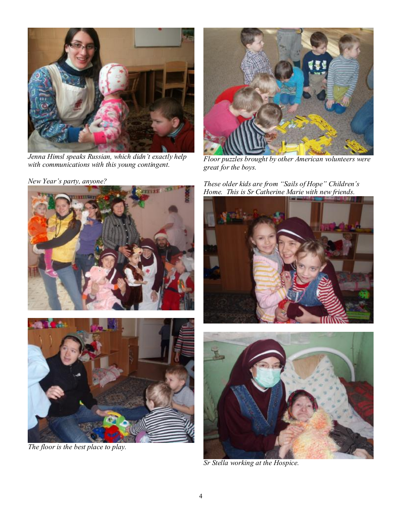

*Jenna Himsl speaks Russian, which didn't exactly help with communications with this young contingent.* 

*New Year's party, anyone?* 



*The floor is the best place to play.* 



*Floor puzzles brought by other American volunteers were great for the boys.* 

*These older kids are from "Sails of Hope" Children's Home. This is Sr Catherine Marie with new friends.* 





*Sr Stella working at the Hospice.*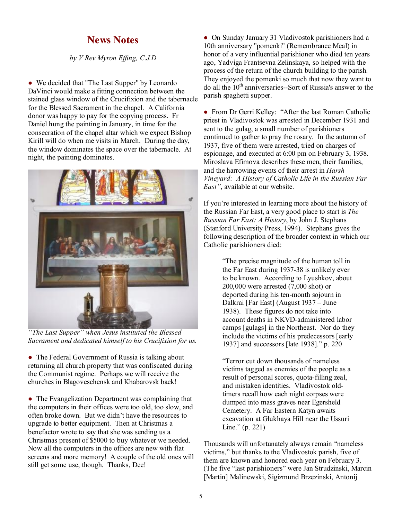#### **News Notes**

*by V Rev Myron Effing, C.J.D* 

• We decided that "The Last Supper" by Leonardo DaVinci would make a fitting connection between the stained glass window of the Crucifixion and the tabernacle for the Blessed Sacrament in the chapel. A California donor was happy to pay for the copying process. Fr Daniel hung the painting in January, in time for the consecration of the chapel altar which we expect Bishop Kirill will do when me visits in March. During the day, the window dominates the space over the tabernacle. At night, the painting dominates.



*"The Last Supper" when Jesus instituted the Blessed Sacrament and dedicated himself to his Crucifixion for us.* 

• The Federal Government of Russia is talking about returning all church property that was confiscated during the Communist regime. Perhaps we will receive the churches in Blagoveschensk and Khabarovsk back!

• The Evangelization Department was complaining that the computers in their offices were too old, too slow, and often broke down. But we didn't have the resources to upgrade to better equipment. Then at Christmas a benefactor wrote to say that she was sending us a Christmas present of \$5000 to buy whatever we needed. Now all the computers in the offices are new with flat screens and more memory! A couple of the old ones will still get some use, though. Thanks, Dee!

• On Sunday January 31 Vladivostok parishioners had a 10th anniversary "pomenki" (Remembrance Meal) in honor of a very influential parishioner who died ten years ago, Yadviga Frantsevna Zelinskaya, so helped with the process of the return of the church building to the parish. They enjoyed the pomenki so much that now they want to do all the  $10<sup>th</sup>$  anniversaries--Sort of Russia's answer to the parish spaghetti supper.

● From Dr Gerri Kelley: "After the last Roman Catholic priest in Vladivostok was arrested in December 1931 and sent to the gulag, a small number of parishioners continued to gather to pray the rosary. In the autumn of 1937, five of them were arrested, tried on charges of espionage, and executed at 6:00 pm on February 3, 1938. Miroslava Efimova describes these men, their families, and the harrowing events of their arrest in *Harsh Vineyard: A History of Catholic Life in the Russian Far East"*, available at our website.

If you're interested in learning more about the history of the Russian Far East, a very good place to start is *The Russian Far East: A History*, by John J. Stephans (Stanford University Press, 1994). Stephans gives the following description of the broader context in which our Catholic parishioners died:

> "The precise magnitude of the human toll in the Far East during 1937-38 is unlikely ever to be known. According to Lyushkov, about 200,000 were arrested (7,000 shot) or deported during his ten-month sojourn in Dalkrai [Far East] (August 1937 – June 1938). These figures do not take into account deaths in NKVD-administered labor camps [gulags] in the Northeast. Nor do they include the victims of his predecessors [early 1937] and successors [late 1938]." p. 220

"Terror cut down thousands of nameless victims tagged as enemies of the people as a result of personal scores, quota-filling zeal, and mistaken identities. Vladivostok oldtimers recall how each night corpses were dumped into mass graves near Egersheld Cemetery. A Far Eastern Katyn awaits excavation at Glukhaya Hill near the Ussuri Line." (p. 221)

Thousands will unfortunately always remain "nameless victims," but thanks to the Vladivostok parish, five of them are known and honored each year on February 3. (The five "last parishioners" were Jan Strudzinski, Marcin [Martin] Malinewski, Sigizmund Brzezinski, Antonij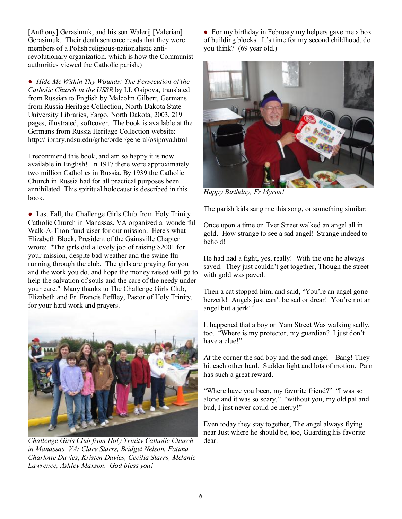[Anthony] Gerasimuk, and his son Walerij [Valerian] Gerasimuk. Their death sentence reads that they were members of a Polish religious-nationalistic antirevolutionary organization, which is how the Communist authorities viewed the Catholic parish.)

● *Hide Me Within Thy Wounds: The Persecution of the Catholic Church in the USSR* by I.I. Osipova, translated from Russian to English by Malcolm Gilbert, Germans from Russia Heritage Collection, North Dakota State University Libraries, Fargo, North Dakota, 2003, 219 pages, illustrated, softcover. The book is available at the Germans from Russia Heritage Collection website: <http://library.ndsu.edu/grhc/order/general/osipova.html>

I recommend this book, and am so happy it is now available in English! In 1917 there were approximately two million Catholics in Russia. By 1939 the Catholic Church in Russia had for all practical purposes been annihilated. This spiritual holocaust is described in this book.

● Last Fall, the Challenge Girls Club from Holy Trinity Catholic Church in Manassas, VA organized a wonderful Walk-A-Thon fundraiser for our mission. Here's what Elizabeth Block, President of the Gainsville Chapter wrote: "The girls did a lovely job of raising \$2001 for your mission, despite bad weather and the swine flu running through the club. The girls are praying for you and the work you do, and hope the money raised will go to help the salvation of souls and the care of the needy under your care." Many thanks to The Challenge Girls Club, Elizabeth and Fr. Francis Peffley, Pastor of Holy Trinity, for your hard work and prayers.



*Challenge Girls Club from Holy Trinity Catholic Church in Manassas, VA: Clare Starrs, Bridget Nelson, Fatima Charlotte Davies, Kristen Davies, Cecilia Starrs, Melanie Lawrence, Ashley Maxson. God bless you!* 

• For my birthday in February my helpers gave me a box of building blocks. It's time for my second childhood, do you think? (69 year old.)



*Happy Birthday, Fr Myron!* 

The parish kids sang me this song, or something similar:

Once upon a time on Tver Street walked an angel all in gold. How strange to see a sad angel! Strange indeed to behold!

He had had a fight, yes, really! With the one he always saved. They just couldn't get together, Though the street with gold was paved.

Then a cat stopped him, and said, "You're an angel gone berzerk! Angels just can't be sad or drear! You're not an angel but a jerk!"

It happened that a boy on Yam Street Was walking sadly, too. "Where is my protector, my guardian? I just don't have a clue!"

At the corner the sad boy and the sad angel—Bang! They hit each other hard. Sudden light and lots of motion. Pain has such a great reward.

"Where have you been, my favorite friend?" "I was so alone and it was so scary," "without you, my old pal and bud, I just never could be merry!"

Even today they stay together, The angel always flying near Just where he should be, too, Guarding his favorite dear.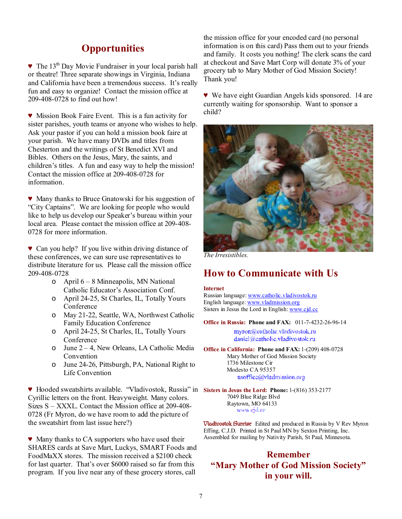## **Opportunities**

▼ The 13<sup>th</sup> Day Movie Fundraiser in your local parish hall or theatre! Three separate showings in Virginia, Indiana and California have been a tremendous success. It's really fun and easy to organize! Contact the mission office at 209-408-0728 to find out how!

♥ Mission Book Faire Event. This is a fun activity for sister parishes, youth teams or anyone who wishes to help. Ask your pastor if you can hold a mission book faire at your parish. We have many DVDs and titles from Chesterton and the writings of St Benedict XVI and Bibles. Others on the Jesus, Mary, the saints, and children's titles. A fun and easy way to help the mission! Contact the mission office at 209-408-0728 for information.

♥ Many thanks to Bruce Gnatowski for his suggestion of "City Captains". We are looking for people who would like to help us develop our Speaker's bureau within your local area. Please contact the mission office at 209-408- 0728 for more information.

♥ Can you help? If you live within driving distance of these conferences, we can sure use representatives to distribute literature for us. Please call the mission office 209-408-0728

- o April 6 8 Minneapolis, MN National Catholic Educator's Association Conf.
- o April 24-25, St Charles, IL, Totally Yours Conference
- o May 21-22, Seattle, WA, Northwest Catholic Family Education Conference
- o April 24-25, St Charles, IL, Totally Yours Conference
- o June 2 4, New Orleans, LA Catholic Media Convention
- o June 24-26, Pittsburgh, PA, National Right to Life Convention

♥ Hooded sweatshirts available. "Vladivostok, Russia" in **Sisters in Jesus the Lord: Phone:** 1-(816) 353-2177 Cyrillic letters on the front. Heavyweight. Many colors. Sizes S – XXXL. Contact the Mission office at 209-408- 0728 (Fr Myron, do we have room to add the picture of the sweatshirt from last issue here?)

♥ Many thanks to CA supporters who have used their SHARES cards at Save Mart, Luckys, SMART Foods and FoodMaXX stores. The mission received a \$2100 check for last quarter. That's over \$6000 raised so far from this program. If you live near any of these grocery stores, call

the mission office for your encoded card (no personal information is on this card) Pass them out to your friends and family. It costs you nothing! The clerk scans the card at checkout and Save Mart Corp will donate 3% of your grocery tab to Mary Mother of God Mission Society! Thank you!

♥ We have eight Guardian Angels kids sponsored. 14 are currently waiting for sponsorship. Want to sponsor a child?



*The Irresistibles.* 

#### **How to Communicate with Us**

#### **Internet**

Russian language: [www.catholic.vladivostok.ru](http://www.catholic.vladivostok.ru) English language: [www.vladmission.org](http://www.vladmission.org) Sisters in Jesus the Lord in English: [www.cjd.cc](http://www.cjd.cc)

**Office in Russia: Phone and FAX:** 011-7-4232-26-96-14

myron@eatholic.vladivostok.ru daniel@eatholic.vladivostok.ru

**Office in California: Phone and FAX:** 1-(209) 408-0728 Mary Mother of God Mission Society 1736 Milestone Cir Modesto CA 95357 usoffice@vladmission.org

7049 Blue Ridge Blvd Raytown, MO 64133 www.ejd.co

**Vladivostok Sunrise** Edited and produced in Russia by V Rev Myron Effing, C.J.D. Printed in St Paul MN by Sexton Printing, Inc. Assembled for mailing by Nativity Parish, St Paul, Minnesota.

#### **Remember "Mary Mother of God Mission Society" in your will.**